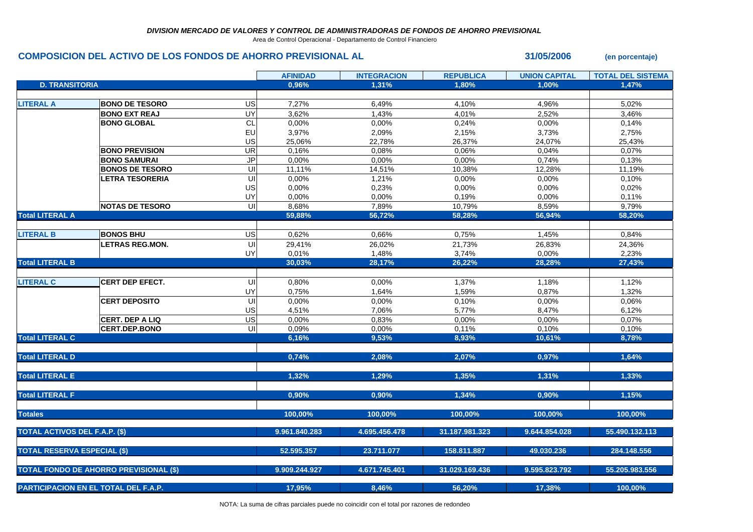Area de Control Operacional - Departamento de Control Financiero

## **COMPOSICION DEL ACTIVO DE LOS FONDOS DE AHORRO PREVISIONAL AL 31/05/2006 (en porcentaje)**

|                                               |                        |                          | <b>AFINIDAD</b> | <b>INTEGRACION</b> | <b>REPUBLICA</b> | <b>UNION CAPITAL</b> | <b>TOTAL DEL SISTEMA</b> |
|-----------------------------------------------|------------------------|--------------------------|-----------------|--------------------|------------------|----------------------|--------------------------|
| <b>D. TRANSITORIA</b>                         |                        |                          | 0,96%           | 1,31%              | 1,80%            | 1,00%                | 1,47%                    |
|                                               |                        |                          |                 |                    |                  |                      |                          |
| <b>LITERAL A</b>                              | <b>BONO DE TESORO</b>  | US                       | 7,27%           | 6,49%              | 4,10%            | 4,96%                | 5,02%                    |
|                                               | <b>BONO EXT REAJ</b>   | UY                       | 3,62%           | 1,43%              | 4,01%            | 2,52%                | 3,46%                    |
|                                               | <b>BONO GLOBAL</b>     | $\mathsf{CL}$            | 0,00%           | 0,00%              | 0,24%            | 0,00%                | 0,14%                    |
|                                               |                        | EU                       | 3,97%           | 2,09%              | 2,15%            | 3,73%                | 2,75%                    |
|                                               |                        | US                       | 25,06%          | 22,78%             | 26,37%           | 24,07%               | 25,43%                   |
|                                               | <b>BONO PREVISION</b>  | $\overline{\mathsf{UR}}$ | 0,16%           | 0,08%              | 0,06%            | 0,04%                | 0,07%                    |
|                                               | <b>BONO SAMURAI</b>    | $\mathsf{JP}$            | 0,00%           | 0,00%              | 0,00%            | 0,74%                | 0,13%                    |
|                                               | <b>BONOS DE TESORO</b> | $\overline{U}$           | 11,11%          | 14,51%             | 10,38%           | 12,28%               | 11,19%                   |
|                                               | <b>LETRA TESORERIA</b> | UI                       | 0,00%           | 1,21%              | 0,00%            | 0,00%                | 0,10%                    |
|                                               |                        | US                       | 0,00%           | 0,23%              | 0,00%            | 0,00%                | 0,02%                    |
|                                               |                        | UY                       | 0,00%           | 0,00%              | 0,19%            | 0,00%                | 0,11%                    |
|                                               | <b>NOTAS DE TESORO</b> | $\overline{\subseteq}$   | 8,68%           | 7,89%              | 10,79%           | 8,59%                | 9,79%                    |
| <b>Total LITERAL A</b>                        |                        |                          | 59,88%          | 56,72%             | 58,28%           | 56,94%               | 58,20%                   |
|                                               |                        |                          |                 |                    |                  |                      |                          |
| <b>LITERAL B</b>                              | <b>BONOS BHU</b>       | US                       | 0,62%           | 0,66%              | 0,75%            | 1,45%                | 0,84%                    |
|                                               | <b>LETRAS REG.MON.</b> | UI                       | 29,41%          | 26,02%             | 21,73%           | 26,83%               | 24,36%                   |
|                                               |                        | UY                       | 0,01%           | 1,48%              | 3,74%            | 0,00%                | 2,23%                    |
| <b>Total LITERAL B</b>                        |                        |                          | 30,03%          | 28,17%             | 26,22%           | 28,28%               | 27,43%                   |
|                                               |                        |                          |                 |                    |                  |                      |                          |
| <b>LITERAL C</b>                              | <b>CERT DEP EFECT.</b> | UI                       | 0,80%           | 0,00%              | 1,37%            | 1,18%                | 1,12%                    |
|                                               |                        | UY                       | 0.75%           | 1,64%              | 1,59%            | 0,87%                | 1,32%                    |
|                                               | <b>CERT DEPOSITO</b>   | UI                       | 0,00%           | 0,00%              | 0,10%            | 0,00%                | 0,06%                    |
|                                               |                        | US                       | 4,51%           | 7,06%              | 5,77%            | 8,47%                | 6,12%                    |
|                                               | <b>CERT. DEP A LIQ</b> | $\overline{a}$           | 0,00%           | 0,83%              | 0,00%            | 0,00%                | 0,07%                    |
|                                               | <b>CERT.DEP.BONO</b>   | UI                       | 0,09%           | 0,00%              | 0,11%            | 0,10%                | 0,10%                    |
| <b>Total LITERAL C</b>                        |                        |                          | 6,16%           | 9,53%              | 8,93%            | 10,61%               | 8,78%                    |
|                                               |                        |                          |                 |                    |                  |                      |                          |
| <b>Total LITERAL D</b>                        |                        |                          | 0,74%           | 2,08%              | 2,07%            | 0,97%                | 1,64%                    |
|                                               |                        |                          |                 |                    |                  |                      |                          |
| <b>Total LITERAL E</b>                        |                        |                          | 1,32%           | 1,29%              | 1,35%            | 1,31%                | 1,33%                    |
|                                               |                        |                          |                 |                    |                  |                      |                          |
| <b>Total LITERAL F</b>                        |                        |                          | 0,90%           | 0.90%              | 1,34%            | 0,90%                | 1,15%                    |
| <b>Totales</b>                                |                        |                          | 100,00%         | 100,00%            | 100,00%          | 100,00%              | 100,00%                  |
| <b>TOTAL ACTIVOS DEL F.A.P. (\$)</b>          |                        |                          | 9.961.840.283   | 4.695.456.478      | 31.187.981.323   | 9.644.854.028        | 55.490.132.113           |
|                                               |                        |                          |                 |                    |                  |                      |                          |
| <b>TOTAL RESERVA ESPECIAL (\$)</b>            |                        |                          | 52.595.357      | 23.711.077         | 158.811.887      | 49.030.236           | 284.148.556              |
| <b>TOTAL FONDO DE AHORRO PREVISIONAL (\$)</b> |                        |                          | 9.909.244.927   | 4.671.745.401      | 31.029.169.436   | 9.595.823.792        | 55.205.983.556           |
| <b>PARTICIPACION EN EL TOTAL DEL F.A.P.</b>   |                        |                          | 17,95%          | 8,46%              | 56,20%           | 17,38%               | 100,00%                  |